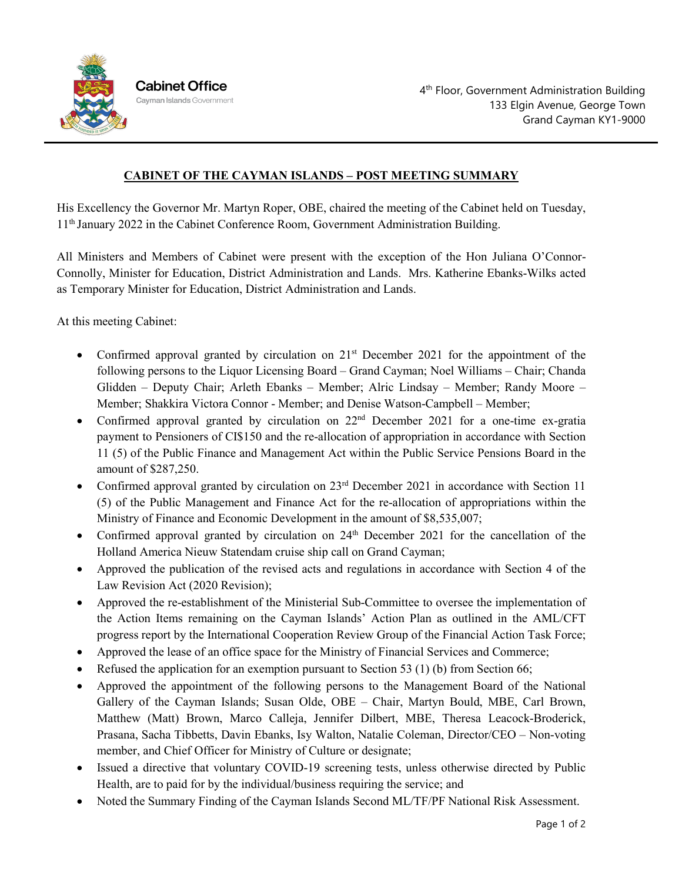

## **CABINET OF THE CAYMAN ISLANDS – POST MEETING SUMMARY**

His Excellency the Governor Mr. Martyn Roper, OBE, chaired the meeting of the Cabinet held on Tuesday, 11th January 2022 in the Cabinet Conference Room, Government Administration Building.

All Ministers and Members of Cabinet were present with the exception of the Hon Juliana O'Connor-Connolly, Minister for Education, District Administration and Lands. Mrs. Katherine Ebanks-Wilks acted as Temporary Minister for Education, District Administration and Lands.

At this meeting Cabinet:

- Confirmed approval granted by circulation on  $21<sup>st</sup>$  December 2021 for the appointment of the following persons to the Liquor Licensing Board – Grand Cayman; Noel Williams – Chair; Chanda Glidden – Deputy Chair; Arleth Ebanks – Member; Alric Lindsay – Member; Randy Moore – Member; Shakkira Victora Connor - Member; and Denise Watson-Campbell – Member;
- Confirmed approval granted by circulation on  $22<sup>nd</sup>$  December 2021 for a one-time ex-gratia payment to Pensioners of CI\$150 and the re-allocation of appropriation in accordance with Section 11 (5) of the Public Finance and Management Act within the Public Service Pensions Board in the amount of \$287,250.
- Confirmed approval granted by circulation on 23<sup>rd</sup> December 2021 in accordance with Section 11 (5) of the Public Management and Finance Act for the re-allocation of appropriations within the Ministry of Finance and Economic Development in the amount of \$8,535,007;
- Confirmed approval granted by circulation on  $24<sup>th</sup>$  December 2021 for the cancellation of the Holland America Nieuw Statendam cruise ship call on Grand Cayman;
- Approved the publication of the revised acts and regulations in accordance with Section 4 of the Law Revision Act (2020 Revision);
- Approved the re-establishment of the Ministerial Sub-Committee to oversee the implementation of the Action Items remaining on the Cayman Islands' Action Plan as outlined in the AML/CFT progress report by the International Cooperation Review Group of the Financial Action Task Force;
- Approved the lease of an office space for the Ministry of Financial Services and Commerce;
- Refused the application for an exemption pursuant to Section 53 (1) (b) from Section 66;
- Approved the appointment of the following persons to the Management Board of the National Gallery of the Cayman Islands; Susan Olde, OBE – Chair, Martyn Bould, MBE, Carl Brown, Matthew (Matt) Brown, Marco Calleja, Jennifer Dilbert, MBE, Theresa Leacock-Broderick, Prasana, Sacha Tibbetts, Davin Ebanks, Isy Walton, Natalie Coleman, Director/CEO – Non-voting member, and Chief Officer for Ministry of Culture or designate;
- Issued a directive that voluntary COVID-19 screening tests, unless otherwise directed by Public Health, are to paid for by the individual/business requiring the service; and
- Noted the Summary Finding of the Cayman Islands Second ML/TF/PF National Risk Assessment.